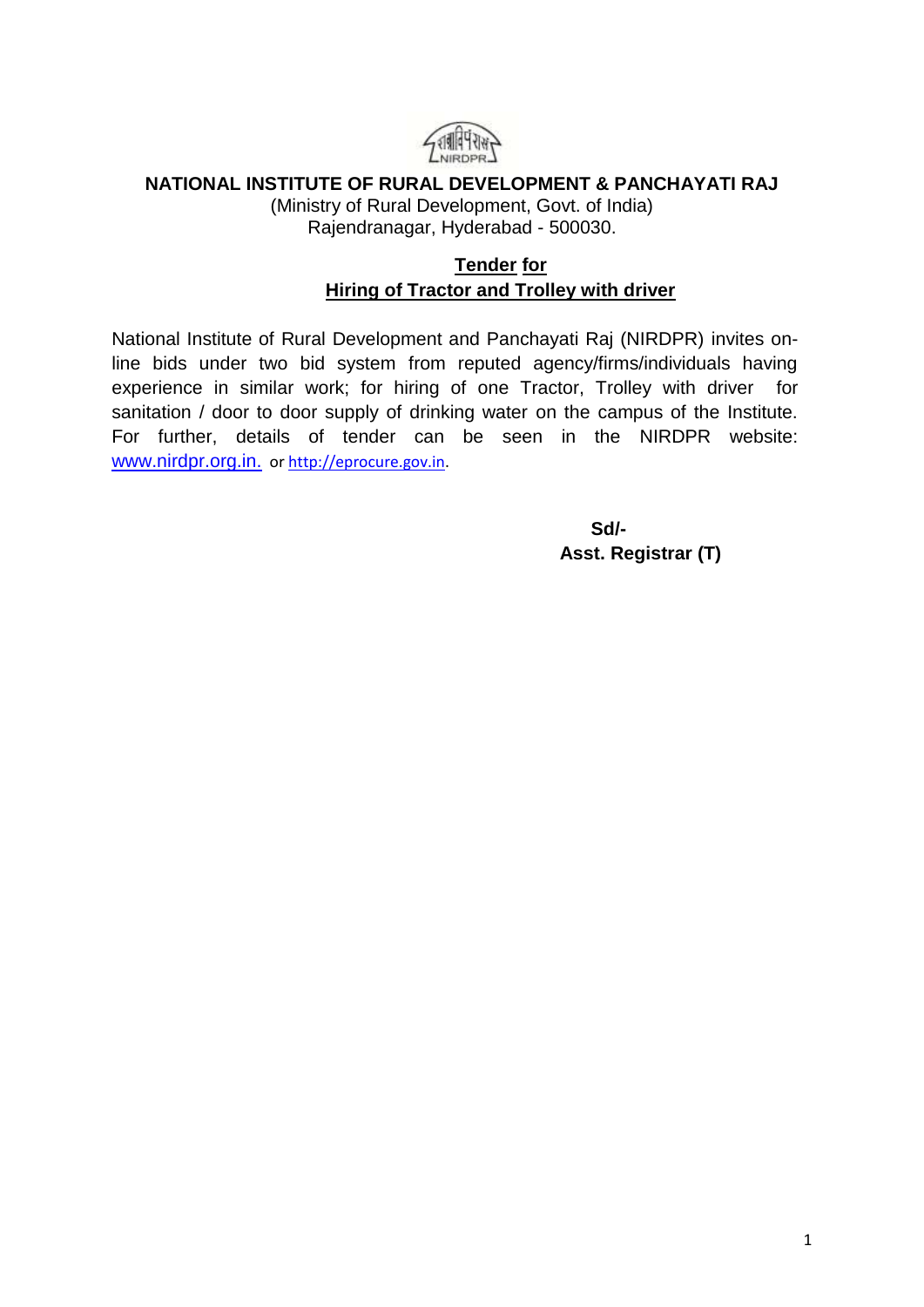

## **NATIONAL INSTITUTE OF RURAL DEVELOPMENT & PANCHAYATI RAJ**

(Ministry of Rural Development, Govt. of India) Rajendranagar, Hyderabad - 500030.

# **Tender for Hiring of Tractor and Trolley with driver**

National Institute of Rural Development and Panchayati Raj (NIRDPR) invites online bids under two bid system from reputed agency/firms/individuals having experience in similar work; for hiring of one Tractor, Trolley with driver for sanitation / door to door supply of drinking water on the campus of the Institute. For further, details of tender can be seen in the NIRDPR website: [www.nirdpr.org.in.](http://www.nirdpr.org.in./) or [http://eprocure.gov.in.](http://eprocure.gov.in/)

> **Sd/- Asst. Registrar (T)**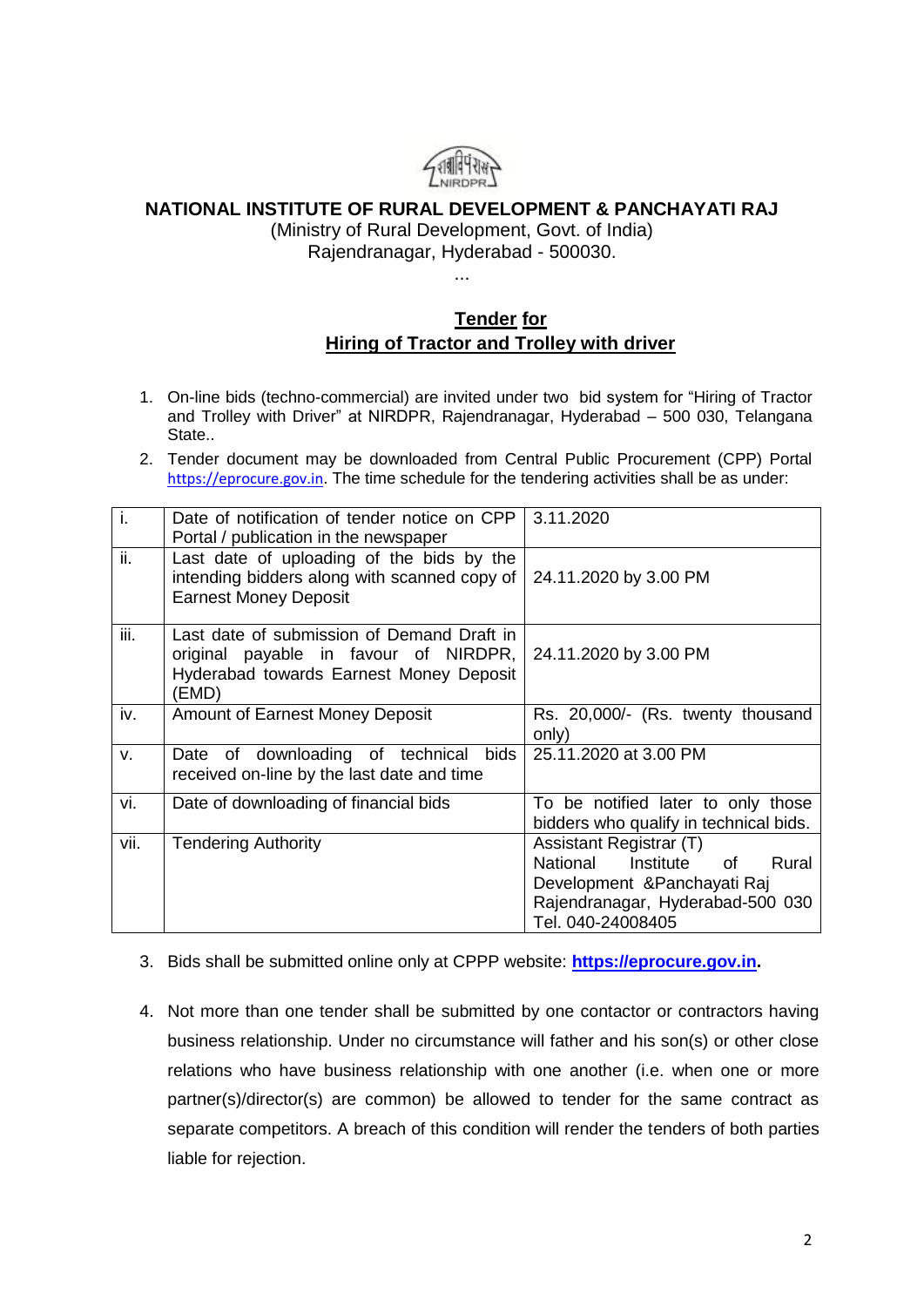

### **NATIONAL INSTITUTE OF RURAL DEVELOPMENT & PANCHAYATI RAJ**

(Ministry of Rural Development, Govt. of India) Rajendranagar, Hyderabad - 500030.

...

# **Tender for Hiring of Tractor and Trolley with driver**

- 1. On-line bids (techno-commercial) are invited under two bid system for "Hiring of Tractor and Trolley with Driver" at NIRDPR, Rajendranagar, Hyderabad – 500 030, Telangana State..
- 2. Tender document may be downloaded from Central Public Procurement (CPP) Portal [https://eprocure.gov.in](https://eprocure.gov.in/). The time schedule for the tendering activities shall be as under:

| j.   | Date of notification of tender notice on CPP<br>Portal / publication in the newspaper                                                   | 3.11.2020                                                                                                                                                |  |  |  |
|------|-----------------------------------------------------------------------------------------------------------------------------------------|----------------------------------------------------------------------------------------------------------------------------------------------------------|--|--|--|
| ii.  | Last date of uploading of the bids by the<br>intending bidders along with scanned copy of<br><b>Earnest Money Deposit</b>               | 24.11.2020 by 3.00 PM                                                                                                                                    |  |  |  |
| iii. | Last date of submission of Demand Draft in<br>original payable in favour of NIRDPR,<br>Hyderabad towards Earnest Money Deposit<br>(EMD) | 24.11.2020 by 3.00 PM                                                                                                                                    |  |  |  |
| iv.  | Amount of Earnest Money Deposit                                                                                                         | Rs. 20,000/- (Rs. twenty thousand<br>only)                                                                                                               |  |  |  |
| v.   | bids<br>Date of downloading of technical<br>received on-line by the last date and time                                                  | 25.11.2020 at 3.00 PM                                                                                                                                    |  |  |  |
| vi.  | Date of downloading of financial bids                                                                                                   | To be notified later to only those<br>bidders who qualify in technical bids.                                                                             |  |  |  |
| vii. | <b>Tendering Authority</b>                                                                                                              | Assistant Registrar (T)<br>National<br>Institute<br>of<br>Rural<br>Development & Panchayati Raj<br>Rajendranagar, Hyderabad-500 030<br>Tel. 040-24008405 |  |  |  |

- 3. Bids shall be submitted online only at CPPP website: **[https://eprocure.gov.in.](https://eprocure.gov.in/)**
- 4. Not more than one tender shall be submitted by one contactor or contractors having business relationship. Under no circumstance will father and his son(s) or other close relations who have business relationship with one another (i.e. when one or more partner(s)/director(s) are common) be allowed to tender for the same contract as separate competitors. A breach of this condition will render the tenders of both parties liable for rejection.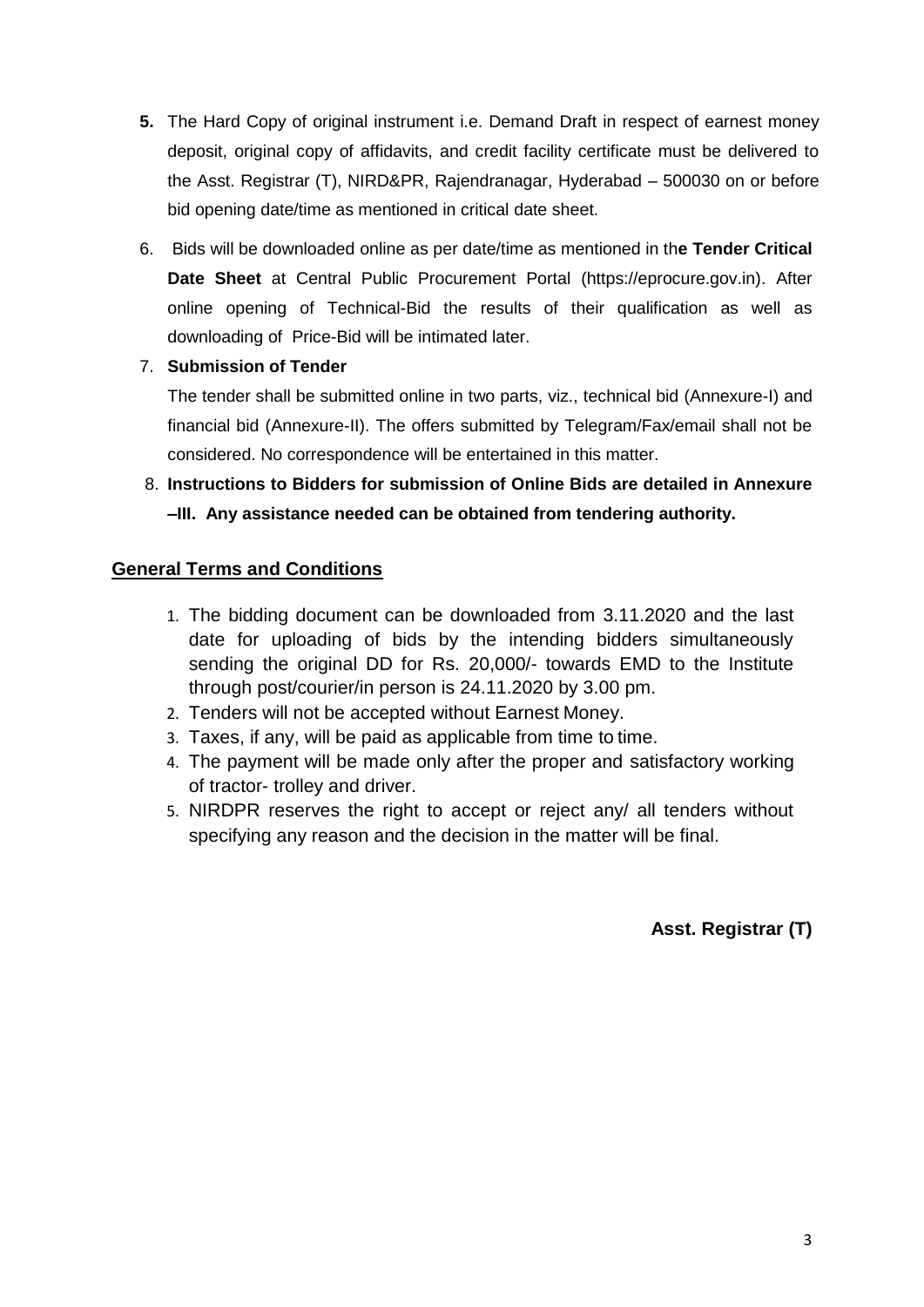- **5.** The Hard Copy of original instrument i.e. Demand Draft in respect of earnest money deposit, original copy of affidavits, and credit facility certificate must be delivered to the Asst. Registrar (T), NIRD&PR, Rajendranagar, Hyderabad – 500030 on or before bid opening date/time as mentioned in critical date sheet.
- 6. Bids will be downloaded online as per date/time as mentioned in th**e Tender Critical Date Sheet** at Central Public Procurement Portal (https://eprocure.gov.in). After online opening of Technical-Bid the results of their qualification as well as downloading of Price-Bid will be intimated later.
- 7. **Submission of Tender**

The tender shall be submitted online in two parts, viz., technical bid (Annexure-I) and financial bid (Annexure-II). The offers submitted by Telegram/Fax/email shall not be considered. No correspondence will be entertained in this matter.

# 8. **Instructions to Bidders for submission of Online Bids are detailed in Annexure –III. Any assistance needed can be obtained from tendering authority.**

# **General Terms and Conditions**

- 1. The bidding document can be downloaded from 3.11.2020 and the last date for uploading of bids by the intending bidders simultaneously sending the original DD for Rs. 20,000/- towards EMD to the Institute through post/courier/in person is 24.11.2020 by 3.00 pm.
- 2. Tenders will not be accepted without Earnest Money.
- 3. Taxes, if any, will be paid as applicable from time to time.
- 4. The payment will be made only after the proper and satisfactory working of tractor- trolley and driver.
- 5. NIRDPR reserves the right to accept or reject any/ all tenders without specifying any reason and the decision in the matter will be final.

# **Asst. Registrar (T)**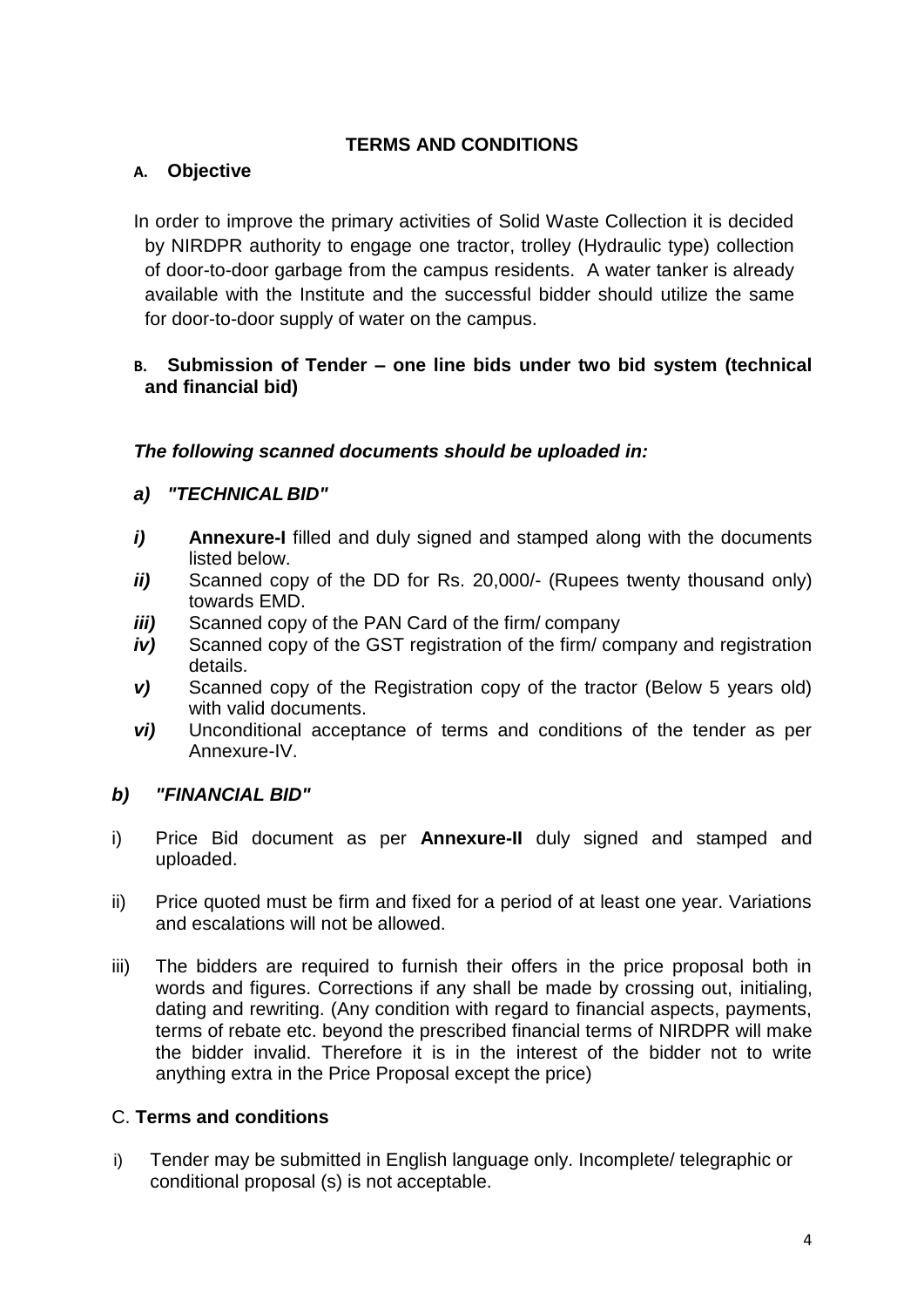# **TERMS AND CONDITIONS**

# **A. Objective**

In order to improve the primary activities of Solid Waste Collection it is decided by NIRDPR authority to engage one tractor, trolley (Hydraulic type) collection of door-to-door garbage from the campus residents. A water tanker is already available with the Institute and the successful bidder should utilize the same for door-to-door supply of water on the campus.

## **B. Submission of Tender – one line bids under two bid system (technical and financial bid)**

# *The following scanned documents should be uploaded in:*

## *a) "TECHNICAL BID"*

- *i*) **Annexure-I** filled and duly signed and stamped along with the documents listed below.
- *ii*) Scanned copy of the DD for Rs. 20,000/- (Rupees twenty thousand only) towards EMD.
- *iii*) Scanned copy of the PAN Card of the firm/ company
- *iv)* Scanned copy of the GST registration of the firm/ company and registration details.
- *v)* Scanned copy of the Registration copy of the tractor (Below 5 years old) with valid documents.
- *vi)* Unconditional acceptance of terms and conditions of the tender as per Annexure-IV.

### *b) "FINANCIAL BID"*

- i) Price Bid document as per **Annexure-II** duly signed and stamped and uploaded.
- ii) Price quoted must be firm and fixed for a period of at least one year. Variations and escalations will not be allowed.
- iii) The bidders are required to furnish their offers in the price proposal both in words and figures. Corrections if any shall be made by crossing out, initialing, dating and rewriting. (Any condition with regard to financial aspects, payments, terms of rebate etc. beyond the prescribed financial terms of NIRDPR will make the bidder invalid. Therefore it is in the interest of the bidder not to write anything extra in the Price Proposal except the price)

## C. **Terms and conditions**

i) Tender may be submitted in English language only. Incomplete/ telegraphic or conditional proposal (s) is not acceptable.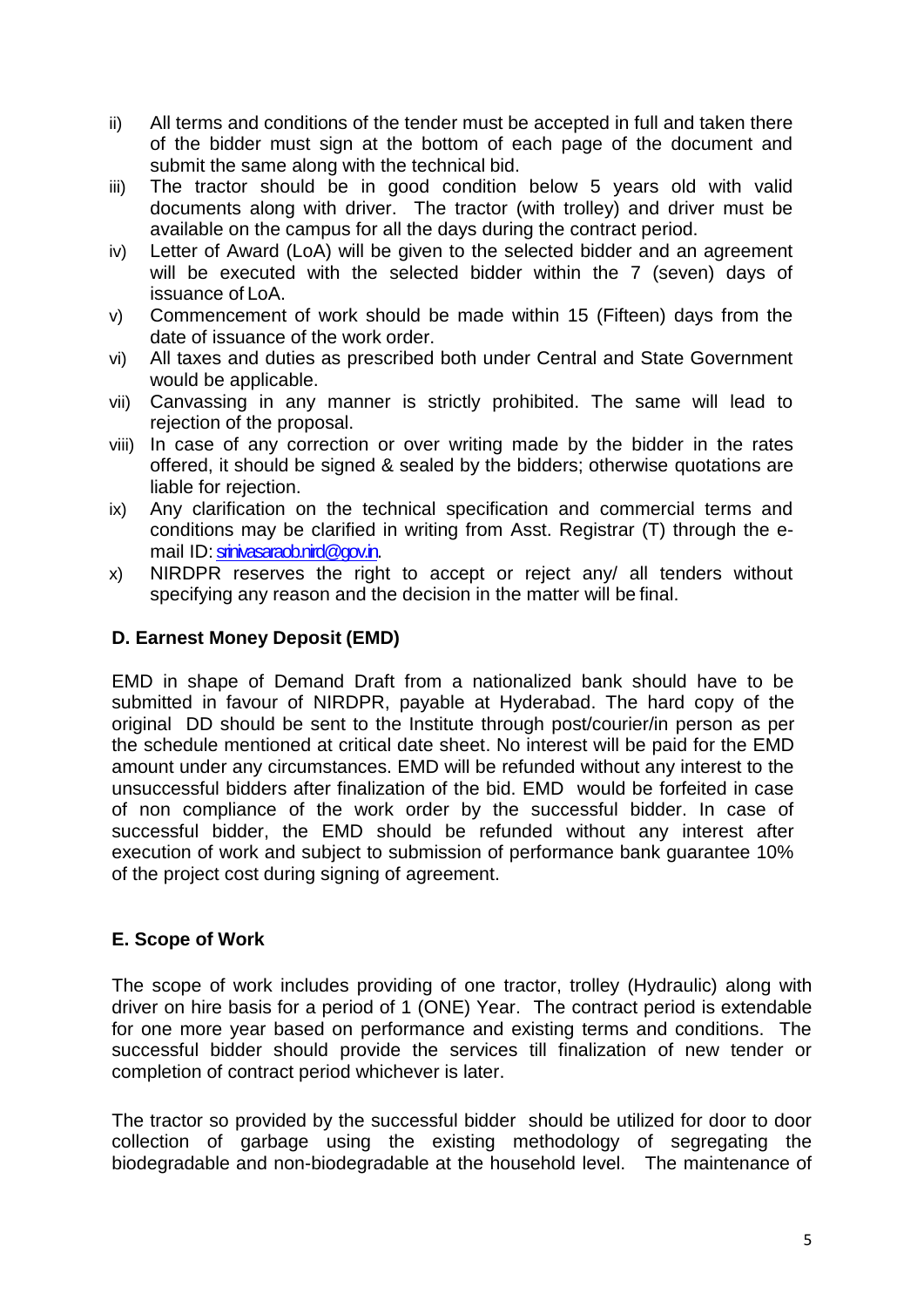- ii) All terms and conditions of the tender must be accepted in full and taken there of the bidder must sign at the bottom of each page of the document and submit the same along with the technical bid.
- iii) The tractor should be in good condition below 5 years old with valid documents along with driver. The tractor (with trolley) and driver must be available on the campus for all the days during the contract period.
- iv) Letter of Award (LoA) will be given to the selected bidder and an agreement will be executed with the selected bidder within the 7 (seven) days of issuance of LoA.
- v) Commencement of work should be made within 15 (Fifteen) days from the date of issuance of the work order.
- vi) All taxes and duties as prescribed both under Central and State Government would be applicable.
- vii) Canvassing in any manner is strictly prohibited. The same will lead to rejection of the proposal.
- viii) In case of any correction or over writing made by the bidder in the rates offered, it should be signed & sealed by the bidders; otherwise quotations are liable for rejection.
- ix) Any clarification on the technical specification and commercial terms and conditions may be clarified in writing from Asst. Registrar (T) through the email ID: [srinivasaraob.nird@gov.in.](mailto:srinivasaraob.nird@gov.in)
- x) NIRDPR reserves the right to accept or reject any/ all tenders without specifying any reason and the decision in the matter will be final.

# **D. Earnest Money Deposit (EMD)**

EMD in shape of Demand Draft from a nationalized bank should have to be submitted in favour of NIRDPR, payable at Hyderabad. The hard copy of the original DD should be sent to the Institute through post/courier/in person as per the schedule mentioned at critical date sheet. No interest will be paid for the EMD amount under any circumstances. EMD will be refunded without any interest to the unsuccessful bidders after finalization of the bid. EMD would be forfeited in case of non compliance of the work order by the successful bidder. In case of successful bidder, the EMD should be refunded without any interest after execution of work and subject to submission of performance bank guarantee 10% of the project cost during signing of agreement.

# **E. Scope of Work**

The scope of work includes providing of one tractor, trolley (Hydraulic) along with driver on hire basis for a period of 1 (ONE) Year. The contract period is extendable for one more year based on performance and existing terms and conditions. The successful bidder should provide the services till finalization of new tender or completion of contract period whichever is later.

The tractor so provided by the successful bidder should be utilized for door to door collection of garbage using the existing methodology of segregating the biodegradable and non-biodegradable at the household level. The maintenance of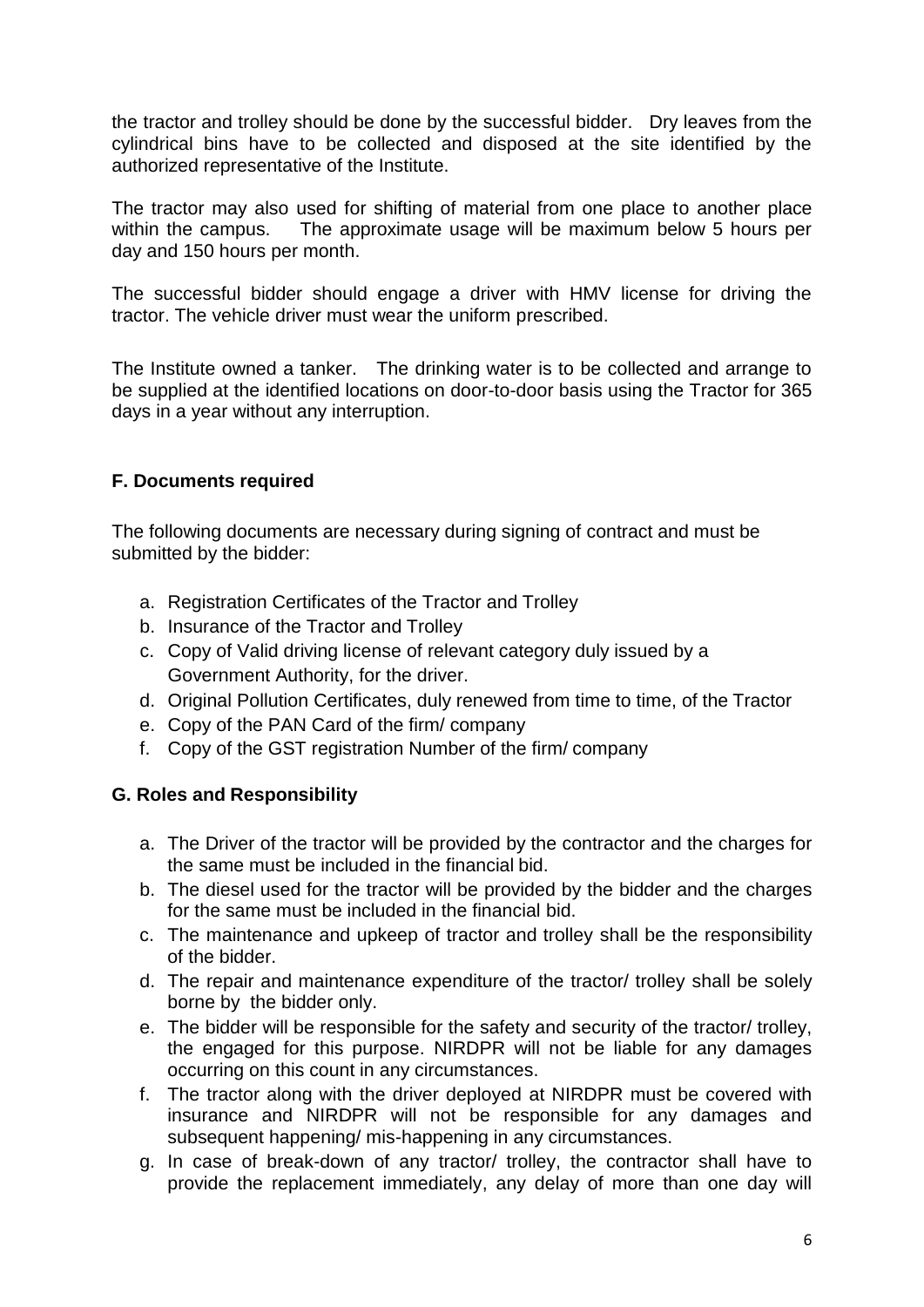the tractor and trolley should be done by the successful bidder. Dry leaves from the cylindrical bins have to be collected and disposed at the site identified by the authorized representative of the Institute.

The tractor may also used for shifting of material from one place to another place within the campus. The approximate usage will be maximum below 5 hours per The approximate usage will be maximum below 5 hours per day and 150 hours per month.

The successful bidder should engage a driver with HMV license for driving the tractor. The vehicle driver must wear the uniform prescribed.

The Institute owned a tanker. The drinking water is to be collected and arrange to be supplied at the identified locations on door-to-door basis using the Tractor for 365 days in a year without any interruption.

# **F. Documents required**

The following documents are necessary during signing of contract and must be submitted by the bidder:

- a. Registration Certificates of the Tractor and Trolley
- b. Insurance of the Tractor and Trolley
- c. Copy of Valid driving license of relevant category duly issued by a Government Authority, for the driver.
- d. Original Pollution Certificates, duly renewed from time to time, of the Tractor
- e. Copy of the PAN Card of the firm/ company
- f. Copy of the GST registration Number of the firm/ company

# **G. Roles and Responsibility**

- a. The Driver of the tractor will be provided by the contractor and the charges for the same must be included in the financial bid.
- b. The diesel used for the tractor will be provided by the bidder and the charges for the same must be included in the financial bid.
- c. The maintenance and upkeep of tractor and trolley shall be the responsibility of the bidder.
- d. The repair and maintenance expenditure of the tractor/ trolley shall be solely borne by the bidder only.
- e. The bidder will be responsible for the safety and security of the tractor/ trolley, the engaged for this purpose. NIRDPR will not be liable for any damages occurring on this count in any circumstances.
- f. The tractor along with the driver deployed at NIRDPR must be covered with insurance and NIRDPR will not be responsible for any damages and subsequent happening/ mis-happening in any circumstances.
- g. In case of break-down of any tractor/ trolley, the contractor shall have to provide the replacement immediately, any delay of more than one day will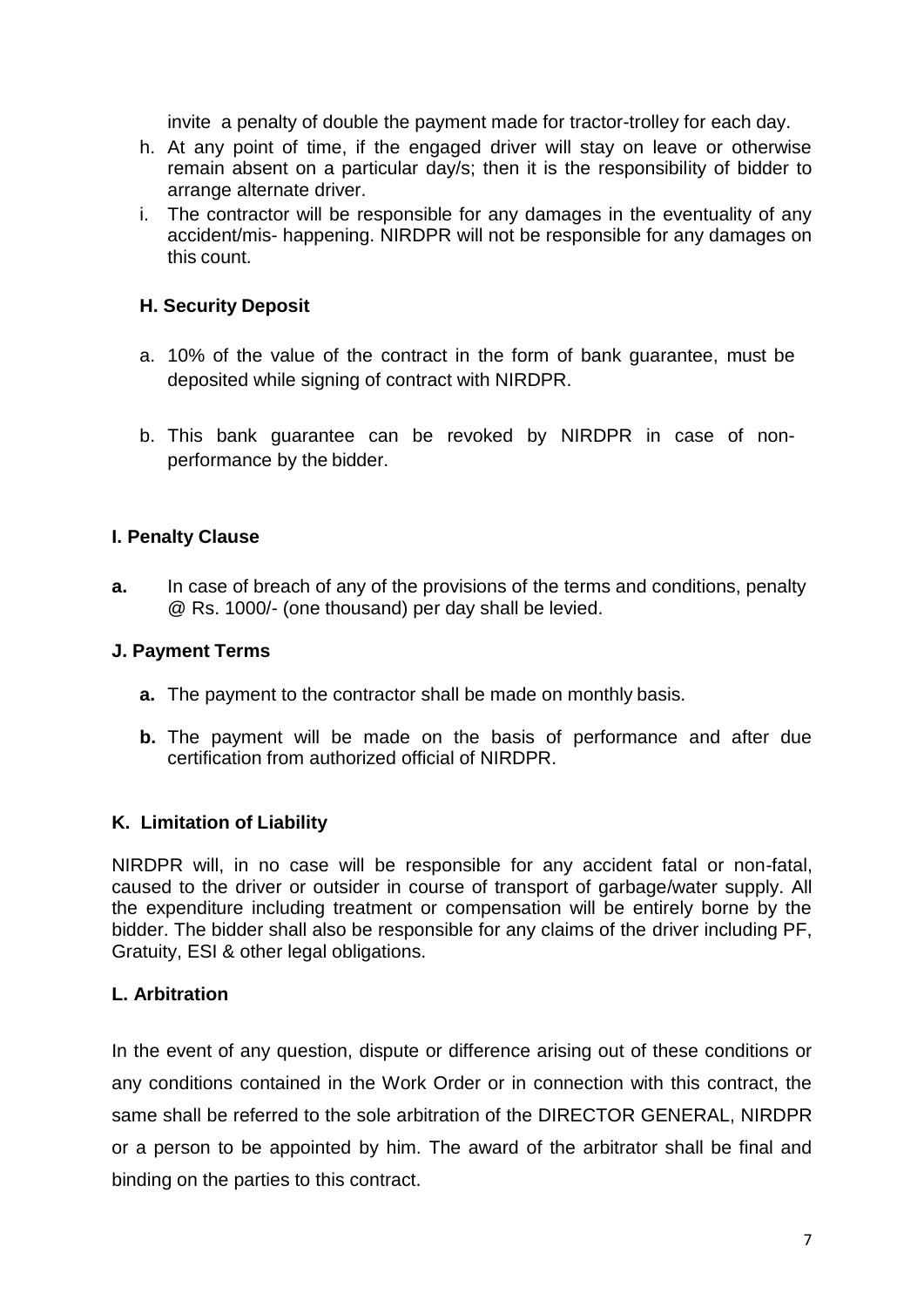invite a penalty of double the payment made for tractor-trolley for each day.

- h. At any point of time, if the engaged driver will stay on leave or otherwise remain absent on a particular day/s; then it is the responsibility of bidder to arrange alternate driver.
- i. The contractor will be responsible for any damages in the eventuality of any accident/mis- happening. NIRDPR will not be responsible for any damages on this count.

## **H. Security Deposit**

- a. 10% of the value of the contract in the form of bank guarantee, must be deposited while signing of contract with NIRDPR.
- b. This bank guarantee can be revoked by NIRDPR in case of nonperformance by the bidder.

## **I. Penalty Clause**

**a.** In case of breach of any of the provisions of the terms and conditions, penalty @ Rs. 1000/- (one thousand) per day shall be levied.

### **J. Payment Terms**

- **a.** The payment to the contractor shall be made on monthly basis.
- **b.** The payment will be made on the basis of performance and after due certification from authorized official of NIRDPR.

### **K. Limitation of Liability**

NIRDPR will, in no case will be responsible for any accident fatal or non-fatal, caused to the driver or outsider in course of transport of garbage/water supply. All the expenditure including treatment or compensation will be entirely borne by the bidder. The bidder shall also be responsible for any claims of the driver including PF, Gratuity, ESI & other legal obligations.

## **L. Arbitration**

In the event of any question, dispute or difference arising out of these conditions or any conditions contained in the Work Order or in connection with this contract, the same shall be referred to the sole arbitration of the DIRECTOR GENERAL, NIRDPR or a person to be appointed by him. The award of the arbitrator shall be final and binding on the parties to this contract.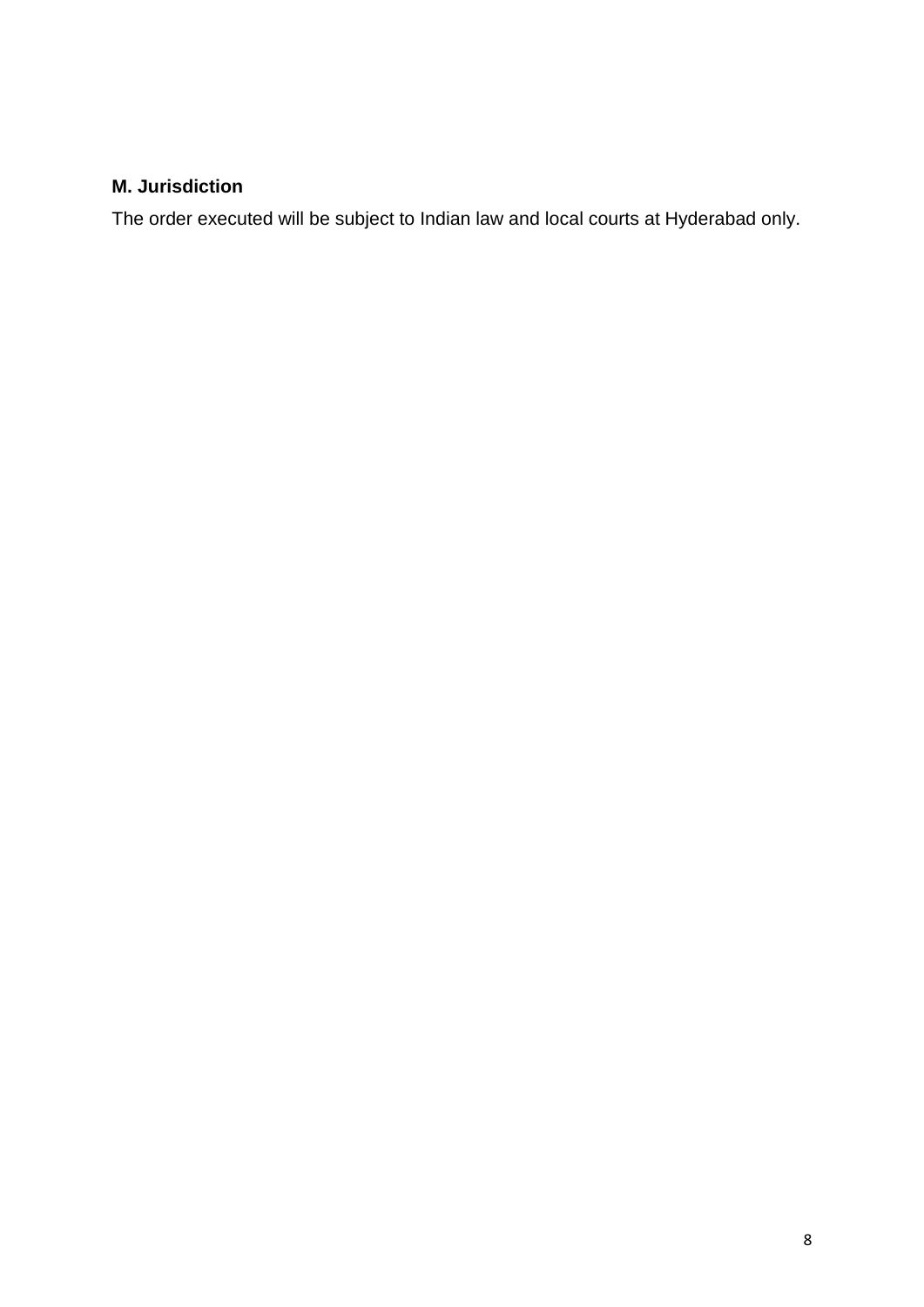# **M. Jurisdiction**

The order executed will be subject to Indian law and local courts at Hyderabad only.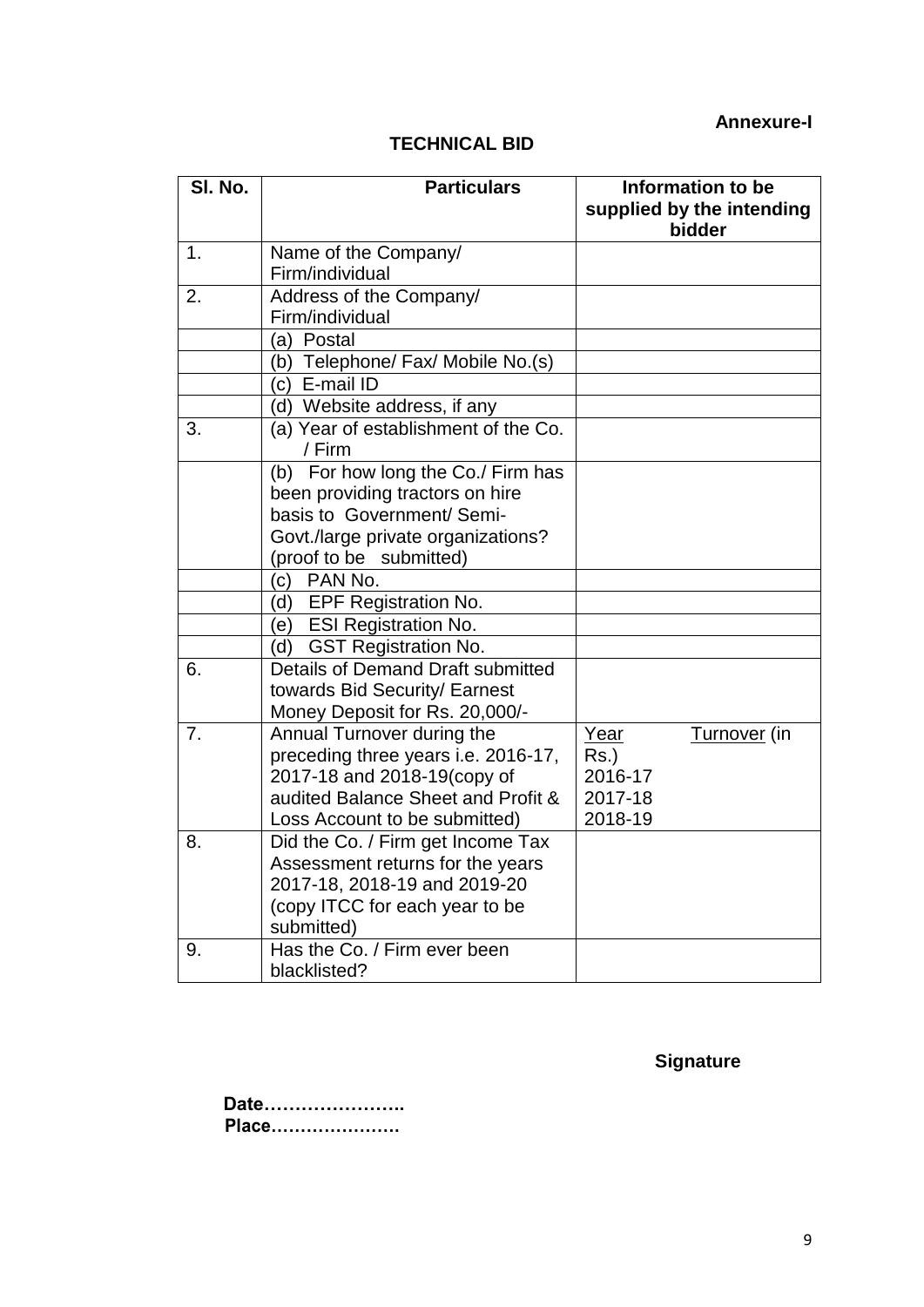# **TECHNICAL BID**

| SI. No.        | <b>Particulars</b>                             | Information to be<br>supplied by the intending<br>bidder |  |  |
|----------------|------------------------------------------------|----------------------------------------------------------|--|--|
| 1.             | Name of the Company/                           |                                                          |  |  |
|                | Firm/individual                                |                                                          |  |  |
| 2.             | Address of the Company/                        |                                                          |  |  |
|                | Firm/individual                                |                                                          |  |  |
|                | Postal<br>(a)                                  |                                                          |  |  |
|                | (b) Telephone/ Fax/ Mobile No.(s)              |                                                          |  |  |
|                | (c) E-mail ID                                  |                                                          |  |  |
|                | (d) Website address, if any                    |                                                          |  |  |
| 3.             | (a) Year of establishment of the Co.<br>/ Firm |                                                          |  |  |
|                | (b) For how long the Co./ Firm has             |                                                          |  |  |
|                | been providing tractors on hire                |                                                          |  |  |
|                | basis to Government/ Semi-                     |                                                          |  |  |
|                | Govt./large private organizations?             |                                                          |  |  |
|                | (proof to be submitted)                        |                                                          |  |  |
|                | PAN No.<br>(c)                                 |                                                          |  |  |
|                | <b>EPF Registration No.</b><br>(d)             |                                                          |  |  |
|                | <b>ESI Registration No.</b><br>(e)             |                                                          |  |  |
|                | <b>GST Registration No.</b><br>(d)             |                                                          |  |  |
| 6.             | Details of Demand Draft submitted              |                                                          |  |  |
|                | towards Bid Security/ Earnest                  |                                                          |  |  |
|                | Money Deposit for Rs. 20,000/-                 |                                                          |  |  |
| 7 <sub>1</sub> | Annual Turnover during the                     | Year<br>Turnover (in                                     |  |  |
|                | preceding three years i.e. 2016-17,            | Rs.)                                                     |  |  |
|                | 2017-18 and 2018-19(copy of                    | 2016-17                                                  |  |  |
|                | audited Balance Sheet and Profit &             | 2017-18                                                  |  |  |
|                | Loss Account to be submitted)                  | 2018-19                                                  |  |  |
| 8.             | Did the Co. / Firm get Income Tax              |                                                          |  |  |
|                | Assessment returns for the years               |                                                          |  |  |
|                | 2017-18, 2018-19 and 2019-20                   |                                                          |  |  |
|                | (copy ITCC for each year to be                 |                                                          |  |  |
|                | submitted)                                     |                                                          |  |  |
| 9.             | Has the Co. / Firm ever been                   |                                                          |  |  |
|                | blacklisted?                                   |                                                          |  |  |

**Signature**

**Date………………….. Place………………….**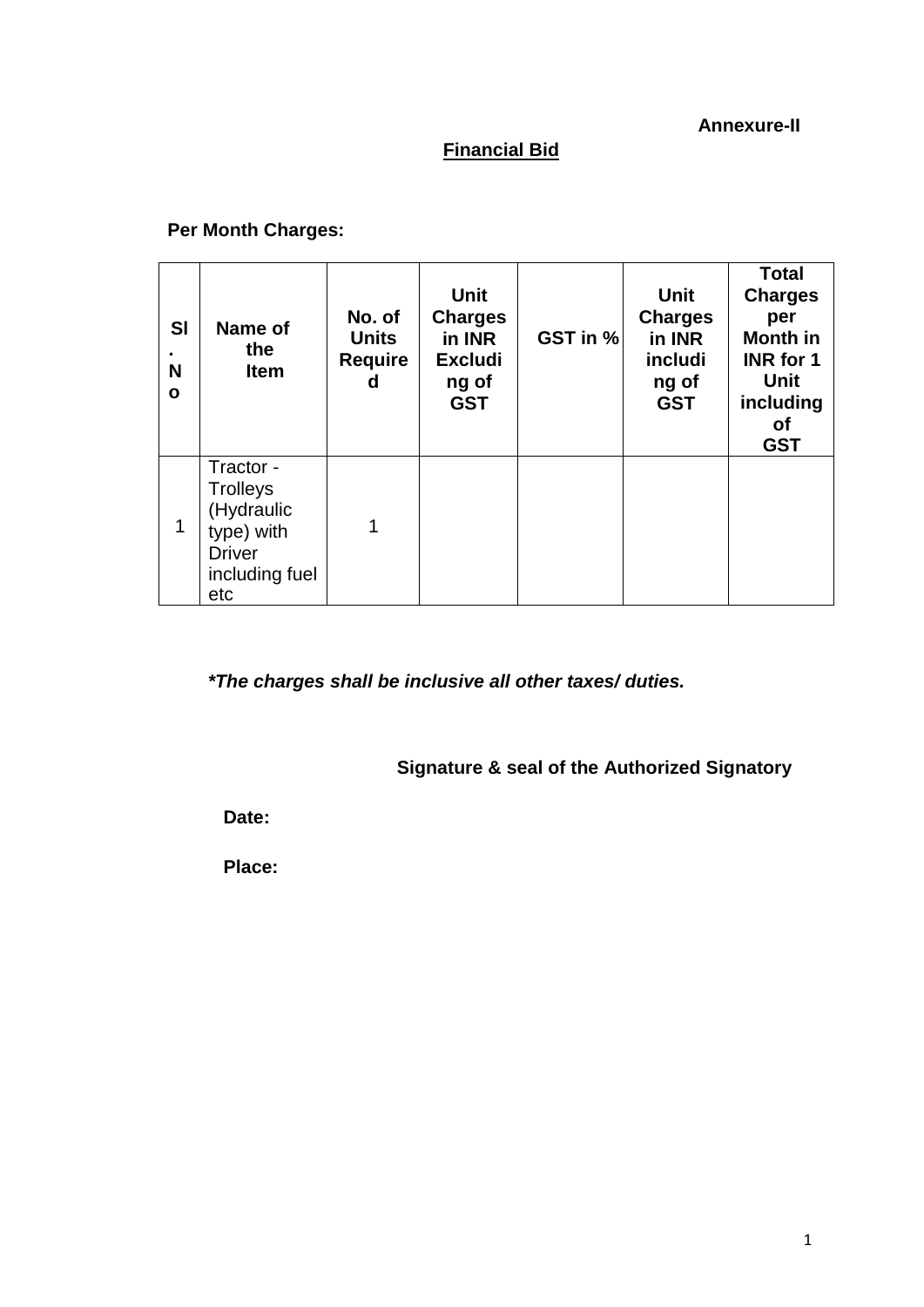#### **Annexure-II**

# **Financial Bid**

# **Per Month Charges:**

| <b>SI</b><br>N<br>$\mathbf{o}$ | Name of<br>the<br><b>Item</b>                                                                      | No. of<br><b>Units</b><br><b>Require</b><br>d | <b>Unit</b><br><b>Charges</b><br>in INR<br><b>Excludi</b><br>ng of<br><b>GST</b> | GST in % | Unit<br><b>Charges</b><br>in INR<br>includi<br>ng of<br><b>GST</b> | <b>Total</b><br><b>Charges</b><br>per<br><b>Month in</b><br><b>INR</b> for 1<br>Unit<br>including<br>Οf<br><b>GST</b> |
|--------------------------------|----------------------------------------------------------------------------------------------------|-----------------------------------------------|----------------------------------------------------------------------------------|----------|--------------------------------------------------------------------|-----------------------------------------------------------------------------------------------------------------------|
| 1                              | Tractor -<br><b>Trolleys</b><br>(Hydraulic<br>type) with<br><b>Driver</b><br>including fuel<br>etc | 1                                             |                                                                                  |          |                                                                    |                                                                                                                       |

*\*The charges shall be inclusive all other taxes/ duties.*

**Signature & seal of the Authorized Signatory**

**Date:**

**Place:**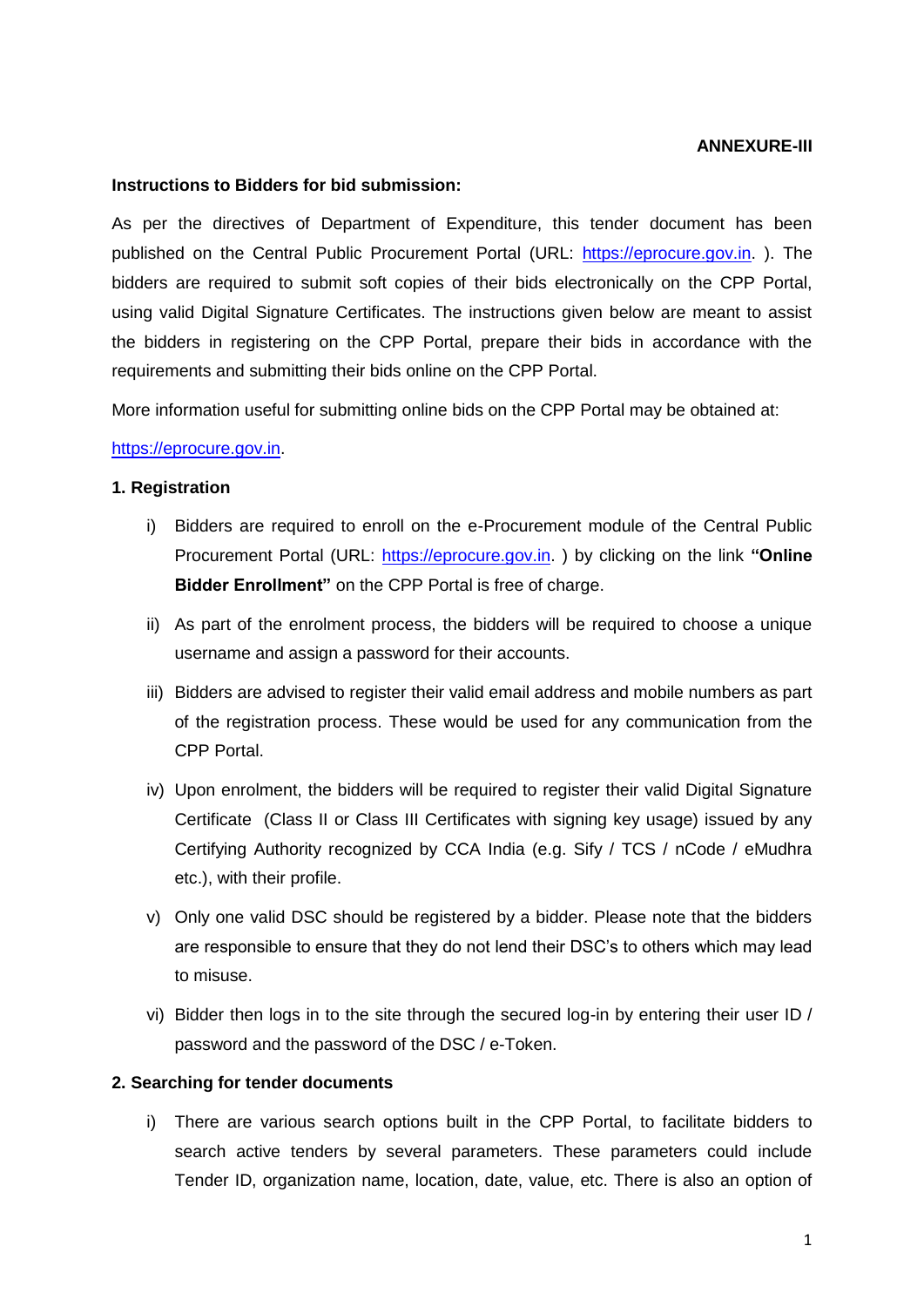#### **ANNEXURE-III**

#### **Instructions to Bidders for bid submission:**

As per the directives of Department of Expenditure, this tender document has been published on the Central Public Procurement Portal (URL: [https://eprocure.gov.in.](https://eprocure.gov.in/) ). The bidders are required to submit soft copies of their bids electronically on the CPP Portal, using valid Digital Signature Certificates. The instructions given below are meant to assist the bidders in registering on the CPP Portal, prepare their bids in accordance with the requirements and submitting their bids online on the CPP Portal.

More information useful for submitting online bids on the CPP Portal may be obtained at:

#### [https://eprocure.gov.in.](https://eprocure.gov.in/)

#### **1. Registration**

- i) Bidders are required to enroll on the e-Procurement module of the Central Public Procurement Portal (URL: [https://eprocure.gov.in.](https://eprocure.gov.in/) ) by clicking on the link **"Online Bidder Enrollment"** on the CPP Portal is free of charge.
- ii) As part of the enrolment process, the bidders will be required to choose a unique username and assign a password for their accounts.
- iii) Bidders are advised to register their valid email address and mobile numbers as part of the registration process. These would be used for any communication from the CPP Portal.
- iv) Upon enrolment, the bidders will be required to register their valid Digital Signature Certificate (Class II or Class III Certificates with signing key usage) issued by any Certifying Authority recognized by CCA India (e.g. Sify / TCS / nCode / eMudhra etc.), with their profile.
- v) Only one valid DSC should be registered by a bidder. Please note that the bidders are responsible to ensure that they do not lend their DSC's to others which may lead to misuse.
- vi) Bidder then logs in to the site through the secured log-in by entering their user ID / password and the password of the DSC / e-Token.

#### **2. Searching for tender documents**

i) There are various search options built in the CPP Portal, to facilitate bidders to search active tenders by several parameters. These parameters could include Tender ID, organization name, location, date, value, etc. There is also an option of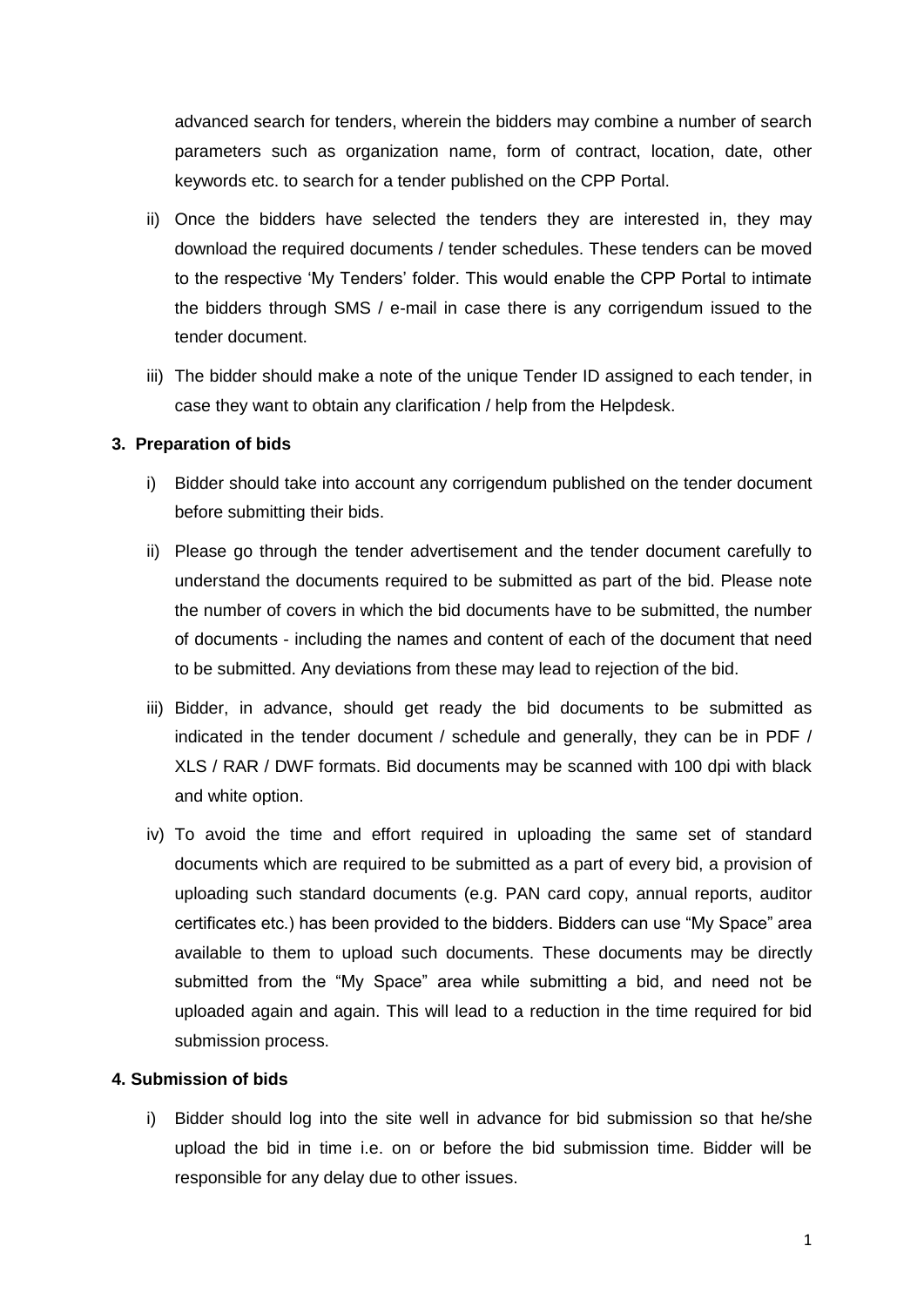advanced search for tenders, wherein the bidders may combine a number of search parameters such as organization name, form of contract, location, date, other keywords etc. to search for a tender published on the CPP Portal.

- ii) Once the bidders have selected the tenders they are interested in, they may download the required documents / tender schedules. These tenders can be moved to the respective 'My Tenders' folder. This would enable the CPP Portal to intimate the bidders through SMS / e-mail in case there is any corrigendum issued to the tender document.
- iii) The bidder should make a note of the unique Tender ID assigned to each tender, in case they want to obtain any clarification / help from the Helpdesk.

#### **3. Preparation of bids**

- i) Bidder should take into account any corrigendum published on the tender document before submitting their bids.
- ii) Please go through the tender advertisement and the tender document carefully to understand the documents required to be submitted as part of the bid. Please note the number of covers in which the bid documents have to be submitted, the number of documents - including the names and content of each of the document that need to be submitted. Any deviations from these may lead to rejection of the bid.
- iii) Bidder, in advance, should get ready the bid documents to be submitted as indicated in the tender document / schedule and generally, they can be in PDF / XLS / RAR / DWF formats. Bid documents may be scanned with 100 dpi with black and white option.
- iv) To avoid the time and effort required in uploading the same set of standard documents which are required to be submitted as a part of every bid, a provision of uploading such standard documents (e.g. PAN card copy, annual reports, auditor certificates etc.) has been provided to the bidders. Bidders can use "My Space" area available to them to upload such documents. These documents may be directly submitted from the "My Space" area while submitting a bid, and need not be uploaded again and again. This will lead to a reduction in the time required for bid submission process.

#### **4. Submission of bids**

i) Bidder should log into the site well in advance for bid submission so that he/she upload the bid in time i.e. on or before the bid submission time. Bidder will be responsible for any delay due to other issues.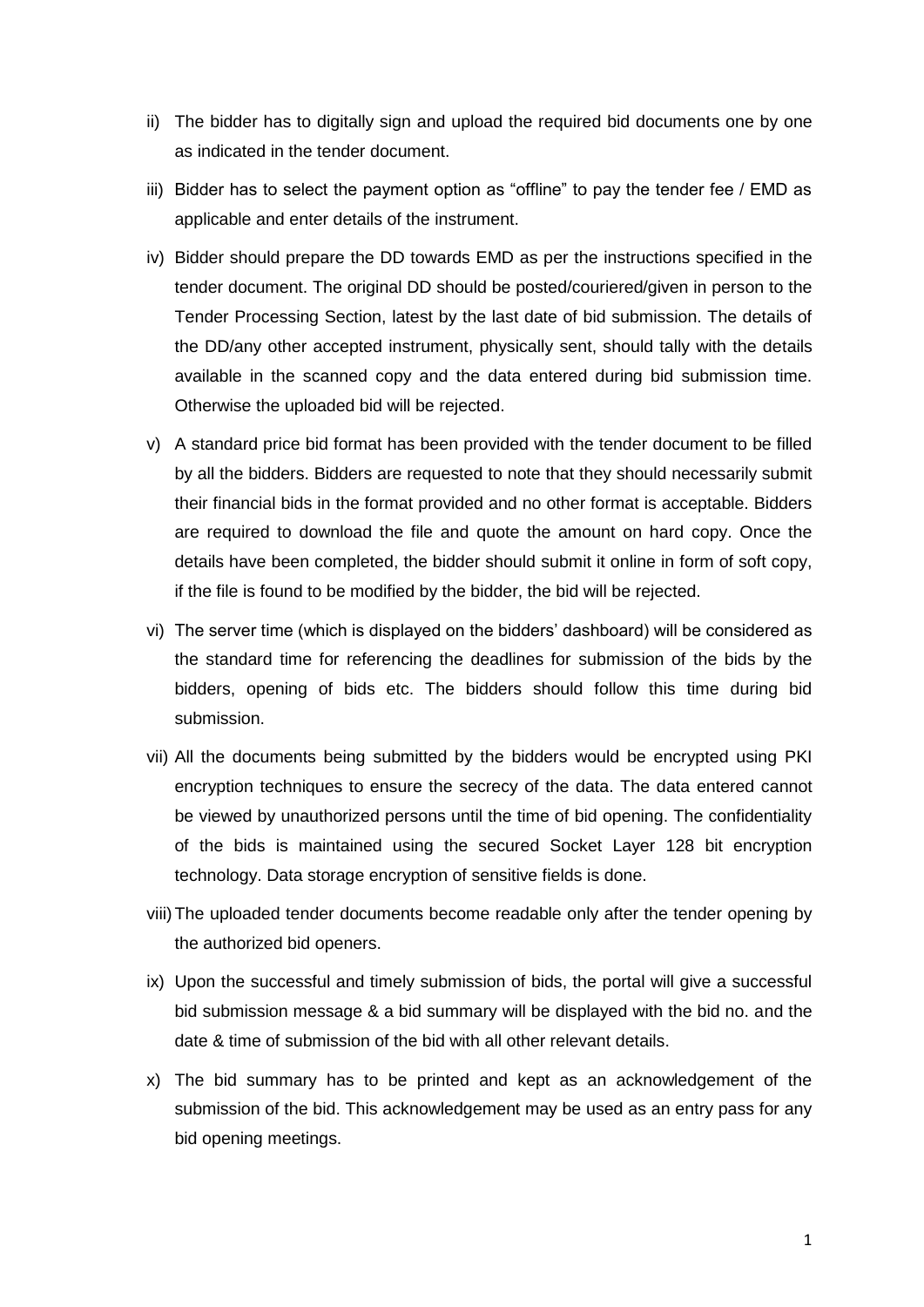- ii) The bidder has to digitally sign and upload the required bid documents one by one as indicated in the tender document.
- iii) Bidder has to select the payment option as "offline" to pay the tender fee / EMD as applicable and enter details of the instrument.
- iv) Bidder should prepare the DD towards EMD as per the instructions specified in the tender document. The original DD should be posted/couriered/given in person to the Tender Processing Section, latest by the last date of bid submission. The details of the DD/any other accepted instrument, physically sent, should tally with the details available in the scanned copy and the data entered during bid submission time. Otherwise the uploaded bid will be rejected.
- v) A standard price bid format has been provided with the tender document to be filled by all the bidders. Bidders are requested to note that they should necessarily submit their financial bids in the format provided and no other format is acceptable. Bidders are required to download the file and quote the amount on hard copy. Once the details have been completed, the bidder should submit it online in form of soft copy, if the file is found to be modified by the bidder, the bid will be rejected.
- vi) The server time (which is displayed on the bidders' dashboard) will be considered as the standard time for referencing the deadlines for submission of the bids by the bidders, opening of bids etc. The bidders should follow this time during bid submission.
- vii) All the documents being submitted by the bidders would be encrypted using PKI encryption techniques to ensure the secrecy of the data. The data entered cannot be viewed by unauthorized persons until the time of bid opening. The confidentiality of the bids is maintained using the secured Socket Layer 128 bit encryption technology. Data storage encryption of sensitive fields is done.
- viii)The uploaded tender documents become readable only after the tender opening by the authorized bid openers.
- ix) Upon the successful and timely submission of bids, the portal will give a successful bid submission message & a bid summary will be displayed with the bid no. and the date & time of submission of the bid with all other relevant details.
- x) The bid summary has to be printed and kept as an acknowledgement of the submission of the bid. This acknowledgement may be used as an entry pass for any bid opening meetings.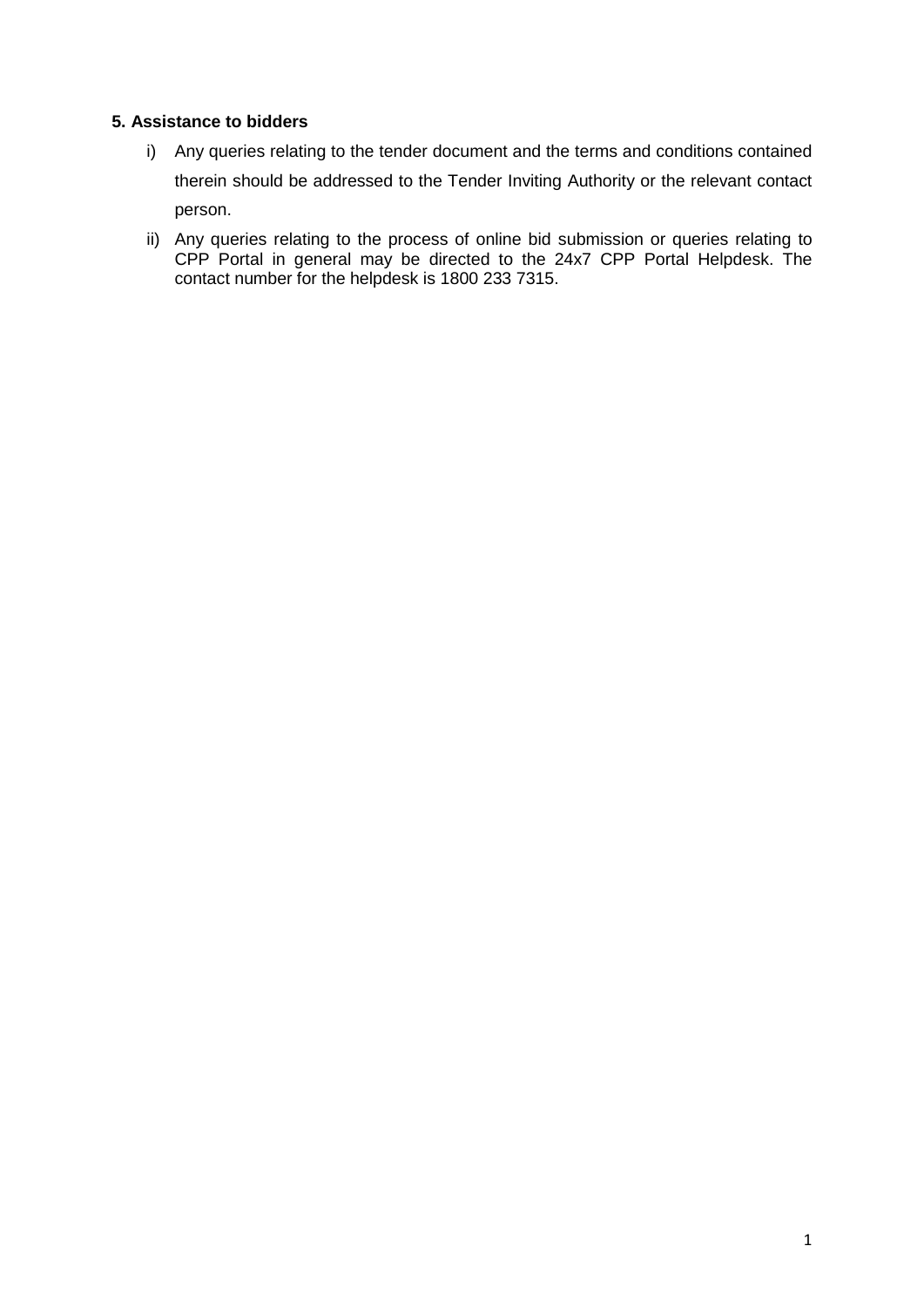#### **5. Assistance to bidders**

- i) Any queries relating to the tender document and the terms and conditions contained therein should be addressed to the Tender Inviting Authority or the relevant contact person.
- ii) Any queries relating to the process of online bid submission or queries relating to CPP Portal in general may be directed to the 24x7 CPP Portal Helpdesk. The contact number for the helpdesk is 1800 233 7315.